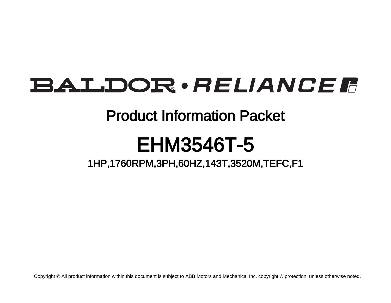# **BALDOR** · RELIANCE F

## Product Information Packet

# EHM3546T-5

1HP,1760RPM,3PH,60HZ,143T,3520M,TEFC,F1

Copyright © All product information within this document is subject to ABB Motors and Mechanical Inc. copyright © protection, unless otherwise noted.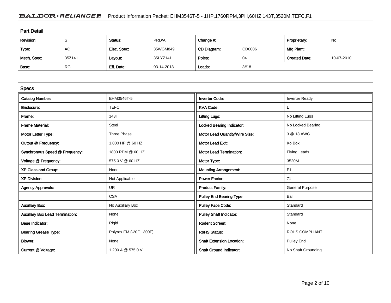### BALDOR · RELIANCE F Product Information Packet: EHM3546T-5 - 1HP,1760RPM,3PH,60HZ,143T,3520M,TEFC,F1

| <b>Part Detail</b> |           |             |            |             |        |                      |            |  |
|--------------------|-----------|-------------|------------|-------------|--------|----------------------|------------|--|
| Revision:          | -S        | Status:     | PRD/A      | Change #:   |        | Proprietary:         | No         |  |
| Type:              | AC        | Elec. Spec: | 35WGM849   | CD Diagram: | CD0006 | Mfg Plant:           |            |  |
| Mech. Spec:        | 35Z141    | Layout:     | 35LYZ141   | Poles:      | 04     | <b>Created Date:</b> | 10-07-2010 |  |
| Base:              | <b>RG</b> | Eff. Date:  | 03-14-2018 | Leads:      | 3#18   |                      |            |  |

| <b>Specs</b>                           |                         |                                  |                        |  |
|----------------------------------------|-------------------------|----------------------------------|------------------------|--|
| <b>Catalog Number:</b>                 | EHM3546T-5              | <b>Inverter Code:</b>            | <b>Inverter Ready</b>  |  |
| Enclosure:                             | <b>TEFC</b>             | <b>KVA Code:</b>                 |                        |  |
| Frame:                                 | 143T                    | <b>Lifting Lugs:</b>             | No Lifting Lugs        |  |
| <b>Frame Material:</b>                 | Steel                   | <b>Locked Bearing Indicator:</b> | No Locked Bearing      |  |
| Motor Letter Type:                     | Three Phase             | Motor Lead Quantity/Wire Size:   | 3 @ 18 AWG             |  |
| Output @ Frequency:                    | 1.000 HP @ 60 HZ        | Motor Lead Exit:                 | Ko Box                 |  |
| Synchronous Speed @ Frequency:         | 1800 RPM @ 60 HZ        | <b>Motor Lead Termination:</b>   | Flying Leads           |  |
| Voltage @ Frequency:                   | 575.0 V @ 60 HZ         | Motor Type:                      | 3520M                  |  |
| XP Class and Group:                    | None                    | <b>Mounting Arrangement:</b>     | F <sub>1</sub>         |  |
| <b>XP Division:</b>                    | Not Applicable          | <b>Power Factor:</b>             | 71                     |  |
| <b>Agency Approvals:</b>               | <b>UR</b>               | <b>Product Family:</b>           | <b>General Purpose</b> |  |
|                                        | <b>CSA</b>              | <b>Pulley End Bearing Type:</b>  | Ball                   |  |
| <b>Auxillary Box:</b>                  | No Auxillary Box        | <b>Pulley Face Code:</b>         | Standard               |  |
| <b>Auxillary Box Lead Termination:</b> | None                    | <b>Pulley Shaft Indicator:</b>   | Standard               |  |
| <b>Base Indicator:</b>                 | Rigid                   | <b>Rodent Screen:</b>            | None                   |  |
| <b>Bearing Grease Type:</b>            | Polyrex EM (-20F +300F) | <b>RoHS Status:</b>              | <b>ROHS COMPLIANT</b>  |  |
| Blower:                                | None                    | <b>Shaft Extension Location:</b> | Pulley End             |  |
| Current @ Voltage:                     | 1.200 A @ 575.0 V       | <b>Shaft Ground Indicator:</b>   | No Shaft Grounding     |  |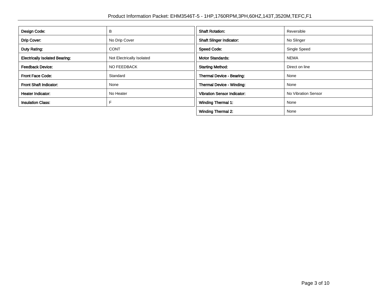| Design Code:                          | в                         | <b>Shaft Rotation:</b>             | Reversible          |
|---------------------------------------|---------------------------|------------------------------------|---------------------|
| Drip Cover:                           | No Drip Cover             | <b>Shaft Slinger Indicator:</b>    | No Slinger          |
| Duty Rating:                          | <b>CONT</b>               | <b>Speed Code:</b>                 | Single Speed        |
| <b>Electrically Isolated Bearing:</b> | Not Electrically Isolated | <b>Motor Standards:</b>            | <b>NEMA</b>         |
| <b>Feedback Device:</b>               | NO FEEDBACK               | <b>Starting Method:</b>            | Direct on line      |
| Front Face Code:                      | Standard                  | Thermal Device - Bearing:          | None                |
| <b>Front Shaft Indicator:</b>         | None                      | <b>Thermal Device - Winding:</b>   | None                |
| Heater Indicator:                     | No Heater                 | <b>Vibration Sensor Indicator:</b> | No Vibration Sensor |
| <b>Insulation Class:</b>              |                           | <b>Winding Thermal 1:</b>          | None                |
|                                       |                           | <b>Winding Thermal 2:</b>          | None                |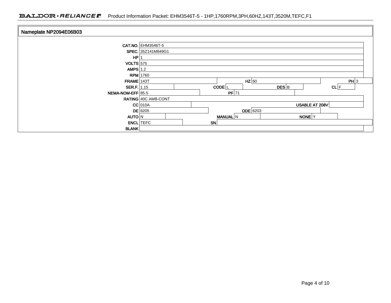### BALDOR · RELIANCE F Product Information Packet: EHM3546T-5 - 1HP,1760RPM,3PH,60HZ,143T,3520M,TEFC,F1

| Nameplate NP2094E06B03 |                              |  |           |      |                    |          |  |
|------------------------|------------------------------|--|-----------|------|--------------------|----------|--|
|                        | <b>CAT.NO.</b> EHM3546T-5    |  |           |      |                    |          |  |
|                        | SPEC. 35Z141M849G1           |  |           |      |                    |          |  |
| HP                     |                              |  |           |      |                    |          |  |
| $VOLTS$ 575            |                              |  |           |      |                    |          |  |
| AMPS $1.2$             |                              |  |           |      |                    |          |  |
|                        | <b>RPM</b> 1760              |  |           |      |                    |          |  |
| $FRAME$ 143T           | $HZ$ 60                      |  |           | PH 3 |                    |          |  |
| SER.F. 1.15            | CODE <sup>L</sup>            |  |           |      | $DES$ <sub>B</sub> | $CL$ $F$ |  |
| NEMA-NOM-EFF 85.5      |                              |  | $PF$ 71   |      |                    |          |  |
|                        | RATING 40C AMB-CONT          |  |           |      |                    |          |  |
|                        | $CC$ 010A                    |  |           |      | USABLE AT 208V     |          |  |
|                        | <b>ODE</b> 6203<br>$DE$ 6205 |  |           |      |                    |          |  |
| <b>AUTO N</b>          |                              |  | MANUAL N  |      | NONE <sup>Y</sup>  |          |  |
|                        | <b>ENCL</b> TEFC             |  | <b>SN</b> |      |                    |          |  |
| <b>BLANK</b>           |                              |  |           |      |                    |          |  |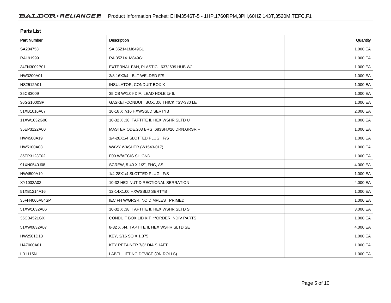| <b>Parts List</b>  |                                              |          |
|--------------------|----------------------------------------------|----------|
| <b>Part Number</b> | <b>Description</b>                           | Quantity |
| SA204753           | SA 35Z141M849G1                              | 1.000 EA |
| RA191999           | RA 35Z141M849G1                              | 1.000 EA |
| 34FN3002B01        | EXTERNAL FAN, PLASTIC, .637/.639 HUB W/      | 1.000 EA |
| HW3200A01          | 3/8-16X3/4 I-BLT WELDED F/S                  | 1.000 EA |
| NS2512A01          | INSULATOR, CONDUIT BOX X                     | 1.000 EA |
| 35CB3009           | 35 CB W/1.09 DIA. LEAD HOLE @ 6:             | 1.000 EA |
| 36GS1000SP         | GASKET-CONDUIT BOX, .06 THICK #SV-330 LE     | 1.000 EA |
| 51XB1016A07        | 10-16 X 7/16 HXWSSLD SERTYB                  | 2.000 EA |
| 11XW1032G06        | 10-32 X .38, TAPTITE II, HEX WSHR SLTD U     | 1.000 EA |
| 35EP3122A00        | MASTER ODE, 203 BRG, 683SH, #26 DRN, GRSR, F | 1.000 EA |
| HW4500A19          | 1/4-28X1/4 SLOTTED PLUG F/S                  | 1.000 EA |
| HW5100A03          | WAVY WASHER (W1543-017)                      | 1.000 EA |
| 35EP3123F02        | F00 W/AEGIS SH GND                           | 1.000 EA |
| 91XN0540J08        | SCREW, 5-40 X 1/2", FHC, AS                  | 4.000 EA |
| HW4500A19          | 1/4-28X1/4 SLOTTED PLUG F/S                  | 1.000 EA |
| XY1032A02          | 10-32 HEX NUT DIRECTIONAL SERRATION          | 4.000 EA |
| 51XB1214A16        | 12-14X1.00 HXWSSLD SERTYB                    | 1.000 EA |
| 35FH4005A84SP      | IEC FH W/GRSR, NO DIMPLES PRIMED             | 1.000 EA |
| 51XW1032A06        | 10-32 X .38, TAPTITE II, HEX WSHR SLTD S     | 3.000 EA |
| 35CB4521GX         | CONDUIT BOX LID KIT ** ORDER INDIV PARTS     | 1.000 EA |
| 51XW0832A07        | 8-32 X .44, TAPTITE II, HEX WSHR SLTD SE     | 4.000 EA |
| HW2501D13          | KEY, 3/16 SQ X 1.375                         | 1.000 EA |
| HA7000A01          | KEY RETAINER 7/8" DIA SHAFT                  | 1.000 EA |
| LB1115N            | LABEL, LIFTING DEVICE (ON ROLLS)             | 1.000 EA |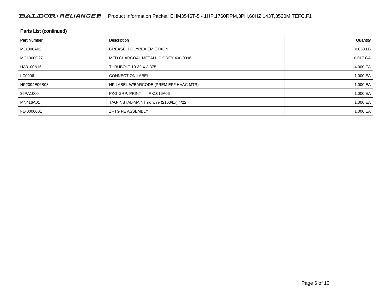| <b>Parts List (continued)</b> |                                         |              |  |  |  |  |
|-------------------------------|-----------------------------------------|--------------|--|--|--|--|
| <b>Part Number</b>            | <b>Description</b>                      | Quantity     |  |  |  |  |
| MJ1000A02                     | GREASE, POLYREX EM EXXON                | 0.050 LB     |  |  |  |  |
| MG1000G27                     | MED CHARCOAL METALLIC GREY 400-0096     | $0.017$ GA   |  |  |  |  |
| HA3100A15                     | THRUBOLT 10-32 X 8.375                  | 4.000 EA     |  |  |  |  |
| LC0006                        | <b>CONNECTION LABEL</b>                 | 1.000 EA     |  |  |  |  |
| NP2094E06B03                  | NP LABEL W/BARCODE (PREM EFF HVAC MTR)  | 1.000 EA     |  |  |  |  |
| 36PA1000                      | PKG GRP, PRINT<br>PK1016A06             | 1.000 EA     |  |  |  |  |
| MN416A01                      | TAG-INSTAL-MAINT no wire (2100/bx) 4/22 | 1.000 EA     |  |  |  |  |
| FE-0000001                    | <b>ZRTG FE ASSEMBLY</b>                 | 1.000 EA $ $ |  |  |  |  |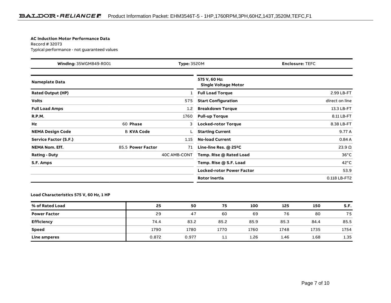#### **AC Induction Motor Performance Data**

Record # 32073Typical performance - not guaranteed values

| Winding: 35WGM849-R001<br><b>Type: 3520M</b> |                   |              | <b>Enclosure: TEFC</b>                       |                |  |  |
|----------------------------------------------|-------------------|--------------|----------------------------------------------|----------------|--|--|
| <b>Nameplate Data</b>                        |                   |              | 575 V, 60 Hz:<br><b>Single Voltage Motor</b> |                |  |  |
| <b>Rated Output (HP)</b>                     |                   | 1            | <b>Full Load Torque</b>                      | 2.99 LB-FT     |  |  |
| <b>Volts</b>                                 |                   | 575          | <b>Start Configuration</b>                   | direct on line |  |  |
| <b>Full Load Amps</b>                        |                   | 1.2          | <b>Breakdown Torque</b>                      | 13.3 LB-FT     |  |  |
| <b>R.P.M.</b>                                |                   | 1760         | <b>Pull-up Torque</b>                        | 8.11 LB-FT     |  |  |
| Hz                                           | 60 Phase          | 3            | <b>Locked-rotor Torque</b>                   | 8.38 LB-FT     |  |  |
| <b>NEMA Design Code</b>                      | <b>B KVA Code</b> |              | <b>Starting Current</b>                      | 9.77 A         |  |  |
| Service Factor (S.F.)                        |                   | 1.15         | <b>No-load Current</b>                       | 0.84A          |  |  |
| <b>NEMA Nom. Eff.</b>                        | 85.5 Power Factor | 71           | Line-line Res. @ 25°C                        | $23.9\Omega$   |  |  |
| <b>Rating - Duty</b>                         |                   | 40C AMB-CONT | Temp. Rise @ Rated Load                      | $36^{\circ}$ C |  |  |
| S.F. Amps                                    |                   |              | Temp. Rise @ S.F. Load                       | $42^{\circ}$ C |  |  |
|                                              |                   |              | <b>Locked-rotor Power Factor</b>             | 53.9           |  |  |
|                                              |                   |              | Rotor inertia                                | 0.118 LB-FT2   |  |  |

#### **Load Characteristics 575 V, 60 Hz, 1 HP**

| % of Rated Load     | 25    | 50    | 75   | 100  | 125  | 150  | S.F. |
|---------------------|-------|-------|------|------|------|------|------|
| <b>Power Factor</b> | 29    | 47    | 60   | 69   | 76   | 80   | 75   |
| <b>Efficiency</b>   | 74.4  | 83.2  | 85.2 | 85.9 | 85.3 | 84.4 | 85.5 |
| <b>Speed</b>        | 1790  | 1780  | 1770 | 1760 | 1748 | 1735 | 1754 |
| Line amperes        | 0.872 | 0.977 | 1.1  | 1.26 | 1.46 | 1.68 | 1.35 |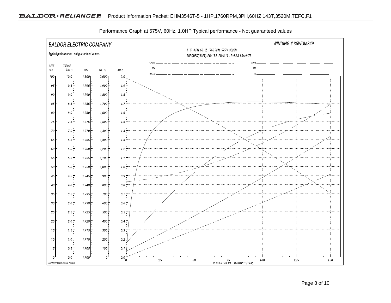

Performance Graph at 575V, 60Hz, 1.0HP Typical performance - Not guaranteed values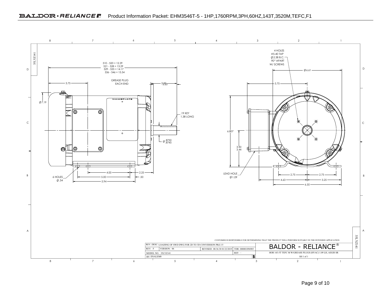